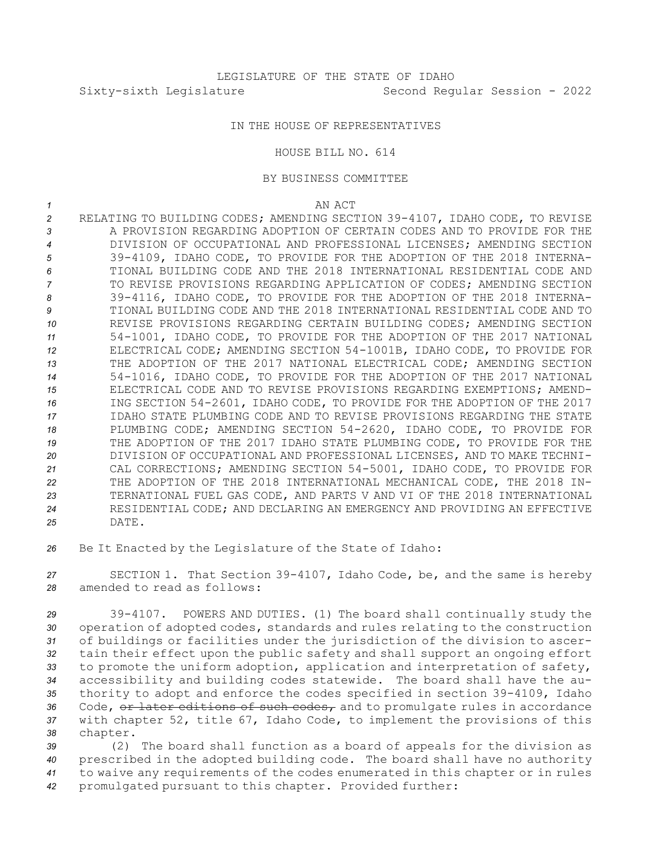## IN THE HOUSE OF REPRESENTATIVES

HOUSE BILL NO. 614

## BY BUSINESS COMMITTEE

*1* AN ACT

- *<sup>2</sup>* RELATING TO BUILDING CODES; AMENDING SECTION 39-4107, IDAHO CODE, TO REVISE 3 **A PROVISION REGARDING ADOPTION OF CERTAIN CODES AND TO PROVIDE FOR THE** *4* DIVISION OF OCCUPATIONAL AND PROFESSIONAL LICENSES; AMENDING SECTION *<sup>5</sup>* 39-4109, IDAHO CODE, TO PROVIDE FOR THE ADOPTION OF THE 2018 INTERNA-*6* TIONAL BUILDING CODE AND THE 2018 INTERNATIONAL RESIDENTIAL CODE AND *7* TO REVISE PROVISIONS REGARDING APPLICATION OF CODES; AMENDING SECTION *<sup>8</sup>* 39-4116, IDAHO CODE, TO PROVIDE FOR THE ADOPTION OF THE 2018 INTERNA-*9* TIONAL BUILDING CODE AND THE 2018 INTERNATIONAL RESIDENTIAL CODE AND TO *10* REVISE PROVISIONS REGARDING CERTAIN BUILDING CODES; AMENDING SECTION *<sup>11</sup>* 54-1001, IDAHO CODE, TO PROVIDE FOR THE ADOPTION OF THE 2017 NATIONAL *<sup>12</sup>* ELECTRICAL CODE; AMENDING SECTION 54-1001B, IDAHO CODE, TO PROVIDE FOR *13* THE ADOPTION OF THE 2017 NATIONAL ELECTRICAL CODE; AMENDING SECTION *<sup>14</sup>* 54-1016, IDAHO CODE, TO PROVIDE FOR THE ADOPTION OF THE 2017 NATIONAL *15* ELECTRICAL CODE AND TO REVISE PROVISIONS REGARDING EXEMPTIONS; AMEND-*<sup>16</sup>* ING SECTION 54-2601, IDAHO CODE, TO PROVIDE FOR THE ADOPTION OF THE 2017 *17* IDAHO STATE PLUMBING CODE AND TO REVISE PROVISIONS REGARDING THE STATE *<sup>18</sup>* PLUMBING CODE; AMENDING SECTION 54-2620, IDAHO CODE, TO PROVIDE FOR *<sup>19</sup>* THE ADOPTION OF THE 2017 IDAHO STATE PLUMBING CODE, TO PROVIDE FOR THE *20* DIVISION OF OCCUPATIONAL AND PROFESSIONAL LICENSES, AND TO MAKE TECHNI-*<sup>21</sup>* CAL CORRECTIONS; AMENDING SECTION 54-5001, IDAHO CODE, TO PROVIDE FOR *<sup>22</sup>* THE ADOPTION OF THE 2018 INTERNATIONAL MECHANICAL CODE, THE 2018 IN-*<sup>23</sup>* TERNATIONAL FUEL GAS CODE, AND PARTS V AND VI OF THE 2018 INTERNATIONAL *24* RESIDENTIAL CODE; AND DECLARING AN EMERGENCY AND PROVIDING AN EFFECTIVE *25* DATE.
- *<sup>26</sup>* Be It Enacted by the Legislature of the State of Idaho:

*<sup>27</sup>* SECTION 1. That Section 39-4107, Idaho Code, be, and the same is hereby *28* amended to read as follows:

 39-4107. POWERS AND DUTIES. (1) The board shall continually study the operation of adopted codes, standards and rules relating to the construction of buildings or facilities under the jurisdiction of the division to ascer- tain their effect upon the public safety and shall support an ongoing effort to promote the uniform adoption, application and interpretation of safety, accessibility and building codes statewide. The board shall have the au- thority to adopt and enforce the codes specified in section 39-4109, Idaho 36 Code, or later editions of such codes, and to promulgate rules in accordance with chapter 52, title 67, Idaho Code, to implement the provisions of this *<sup>38</sup>* chapter.

 (2) The board shall function as <sup>a</sup> board of appeals for the division as prescribed in the adopted building code. The board shall have no authority to waive any requirements of the codes enumerated in this chapter or in rules promulgated pursuant to this chapter. Provided further: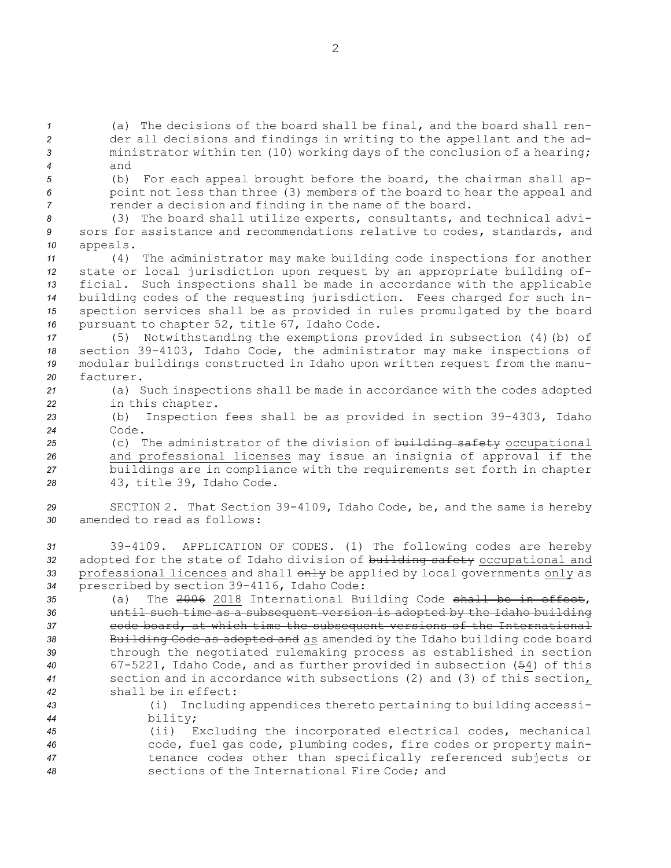(a) The decisions of the board shall be final, and the board shall ren- der all decisions and findings in writing to the appellant and the ad- ministrator within ten (10) working days of the conclusion of <sup>a</sup> hearing; *4* and

- 
- 

*<sup>5</sup>* (b) For each appeal brought before the board, the chairman shall ap-*<sup>6</sup>* point not less than three (3) members of the board to hear the appeal and *7* render a decision and finding in the name of the board.

*<sup>8</sup>* (3) The board shall utilize experts, consultants, and technical advi-*<sup>9</sup>* sors for assistance and recommendations relative to codes, standards, and *<sup>10</sup>* appeals.

 (4) The administrator may make building code inspections for another state or local jurisdiction upon request by an appropriate building of- ficial. Such inspections shall be made in accordance with the applicable building codes of the requesting jurisdiction. Fees charged for such in- spection services shall be as provided in rules promulgated by the board pursuant to chapter 52, title 67, Idaho Code.

 (5) Notwithstanding the exemptions provided in subsection (4)(b) of section 39-4103, Idaho Code, the administrator may make inspections of modular buildings constructed in Idaho upon written request from the manu-facturer.

*<sup>21</sup>* (a) Such inspections shall be made in accordance with the codes adopted *<sup>22</sup>* in this chapter.

*<sup>23</sup>* (b) Inspection fees shall be as provided in section 39-4303, Idaho *24* Code.

25 (c) The administrator of the division of building safety occupational and professional licenses may issue an insignia of approval if the buildings are in compliance with the requirements set forth in chapter 43, title 39, Idaho Code.

*<sup>29</sup>* SECTION 2. That Section 39-4109, Idaho Code, be, and the same is hereby *30* amended to read as follows:

 39-4109. APPLICATION OF CODES. (1) The following codes are hereby adopted for the state of Idaho division of building safety occupational and 33 professional licences and shall  $\theta$ <sup>1</sup> be applied by local governments only as prescribed by section 39-4116, Idaho Code:

 (a) The 2006 2018 International Building Code shall be in effect, until such time as <sup>a</sup> subsequent version is adopted by the Idaho building code board, at which time the subsequent versions of the International Building Code as adopted and as amended by the Idaho building code board through the negotiated rulemaking process as established in section 67-5221, Idaho Code, and as further provided in subsection (54) of this section and in accordance with subsections (2) and (3) of this section, shall be in effect:

- *<sup>43</sup>* (i) Including appendices thereto pertaining to building accessi-*<sup>44</sup>* bility;
- *<sup>45</sup>* (ii) Excluding the incorporated electrical codes, mechanical *<sup>46</sup>* code, fuel gas code, plumbing codes, fire codes or property main-*<sup>47</sup>* tenance codes other than specifically referenced subjects or *48* sections of the International Fire Code; and

2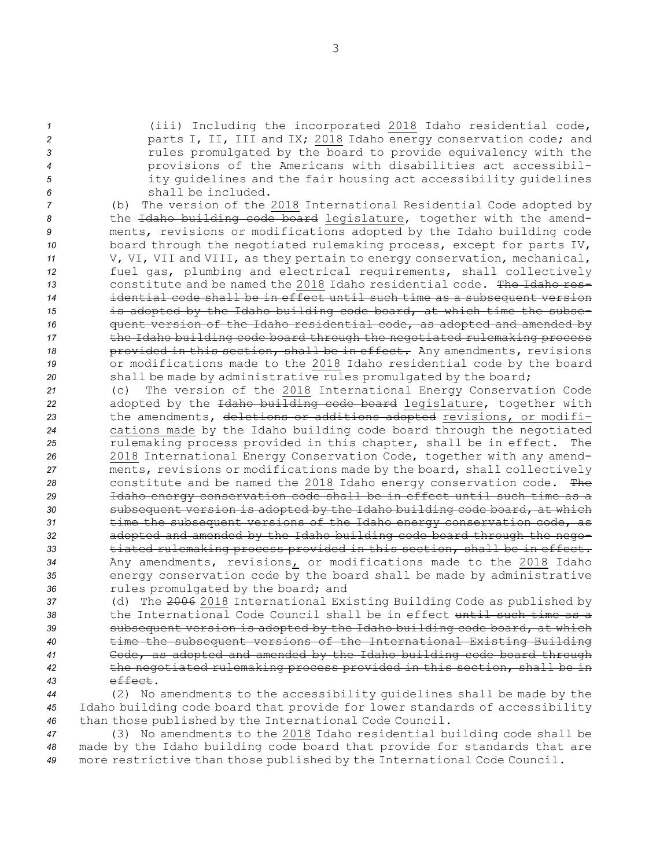(iii) Including the incorporated 2018 Idaho residential code, parts I, II, III and IX; 2018 Idaho energy conservation code; and rules promulgated by the board to provide equivalency with the provisions of the Americans with disabilities act accessibil- ity guidelines and the fair housing act accessibility guidelines shall be included.

 (b) The version of the 2018 International Residential Code adopted by the Idaho building code board legislature, together with the amend- ments, revisions or modifications adopted by the Idaho building code board through the negotiated rulemaking process, except for parts IV, V, VI, VII and VIII, as they pertain to energy conservation, mechanical, fuel gas, plumbing and electrical requirements, shall collectively constitute and be named the 2018 Idaho residential code. The Idaho res- idential code shall be in effect until such time as <sup>a</sup> subsequent version is adopted by the Idaho building code board, at which time the subse- quent version of the Idaho residential code, as adopted and amended by the Idaho building code board through the negotiated rulemaking process **provided in this section, shall be in effect.** Any amendments, revisions or modifications made to the 2018 Idaho residential code by the board 20 shall be made by administrative rules promulgated by the board;

 (c) The version of the 2018 International Energy Conservation Code adopted by the Idaho building code board legislature, together with the amendments, deletions or additions adopted revisions, or modifi- cations made by the Idaho building code board through the negotiated rulemaking process provided in this chapter, shall be in effect. The 2018 International Energy Conservation Code, together with any amend- ments, revisions or modifications made by the board, shall collectively constitute and be named the 2018 Idaho energy conservation code. The Idaho energy conservation code shall be in effect until such time as <sup>a</sup> subsequent version is adopted by the Idaho building code board, at which time the subsequent versions of the Idaho energy conservation code, as adopted and amended by the Idaho building code board through the nego- tiated rulemaking process provided in this section, shall be in effect. Any amendments, revisions, or modifications made to the 2018 Idaho energy conservation code by the board shall be made by administrative rules promulgated by the board; and

 (d) The 2006 2018 International Existing Building Code as published by the International Code Council shall be in effect until such time as <sup>a</sup> subsequent version is adopted by the Idaho building code board, at which time the subsequent versions of the International Existing Building Code, as adopted and amended by the Idaho building code board through the negotiated rulemaking process provided in this section, shall be in *43* effect.

*<sup>44</sup>* (2) No amendments to the accessibility guidelines shall be made by the *<sup>45</sup>* Idaho building code board that provide for lower standards of accessibility *<sup>46</sup>* than those published by the International Code Council.

*<sup>47</sup>* (3) No amendments to the 2018 Idaho residential building code shall be *<sup>48</sup>* made by the Idaho building code board that provide for standards that are *<sup>49</sup>* more restrictive than those published by the International Code Council.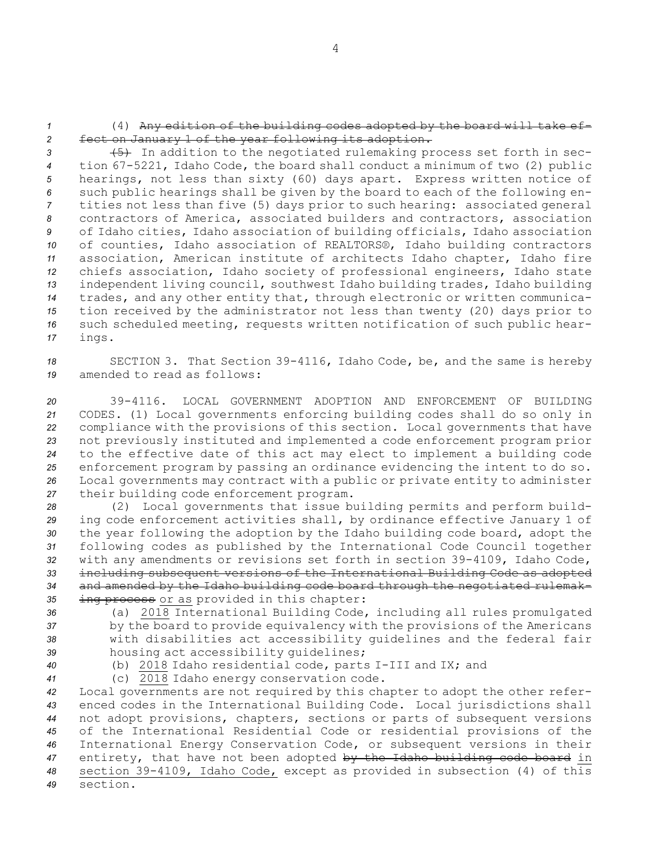*<sup>1</sup>* (4) Any edition of the building codes adopted by the board will take ef-*<sup>2</sup>* fect on January 1 of the year following its adoption.

**45)** In addition to the negotiated rulemaking process set forth in sec- tion 67-5221, Idaho Code, the board shall conduct <sup>a</sup> minimum of two (2) public hearings, not less than sixty (60) days apart. Express written notice of such public hearings shall be given by the board to each of the following en- tities not less than five (5) days prior to such hearing: associated general contractors of America, associated builders and contractors, association of Idaho cities, Idaho association of building officials, Idaho association of counties, Idaho association of REALTORS®, Idaho building contractors association, American institute of architects Idaho chapter, Idaho fire chiefs association, Idaho society of professional engineers, Idaho state independent living council, southwest Idaho building trades, Idaho building trades, and any other entity that, through electronic or written communica- tion received by the administrator not less than twenty (20) days prior to such scheduled meeting, requests written notification of such public hear-*<sup>17</sup>* ings.

*<sup>18</sup>* SECTION 3. That Section 39-4116, Idaho Code, be, and the same is hereby *19* amended to read as follows:

 39-4116. LOCAL GOVERNMENT ADOPTION AND ENFORCEMENT OF BUILDING CODES. (1) Local governments enforcing building codes shall do so only in compliance with the provisions of this section. Local governments that have not previously instituted and implemented <sup>a</sup> code enforcement program prior to the effective date of this act may elect to implement <sup>a</sup> building code enforcement program by passing an ordinance evidencing the intent to do so. Local governments may contract with <sup>a</sup> public or private entity to administer their building code enforcement program.

 (2) Local governments that issue building permits and perform build- ing code enforcement activities shall, by ordinance effective January 1 of the year following the adoption by the Idaho building code board, adopt the following codes as published by the International Code Council together with any amendments or revisions set forth in section 39-4109, Idaho Code, including subsequent versions of the International Building Code as adopted and amended by the Idaho building code board through the negotiated rulemak-ing process or as provided in this chapter:

 (a) 2018 International Building Code, including all rules promulgated by the board to provide equivalency with the provisions of the Americans with disabilities act accessibility guidelines and the federal fair housing act accessibility guidelines;

*<sup>40</sup>* (b) 2018 Idaho residential code, parts I-III and IX; and

*<sup>41</sup>* (c) 2018 Idaho energy conservation code.

 Local governments are not required by this chapter to adopt the other refer- enced codes in the International Building Code. Local jurisdictions shall not adopt provisions, chapters, sections or parts of subsequent versions of the International Residential Code or residential provisions of the International Energy Conservation Code, or subsequent versions in their entirety, that have not been adopted by the Idaho building code board in section 39-4109, Idaho Code, except as provided in subsection (4) of this *49* section.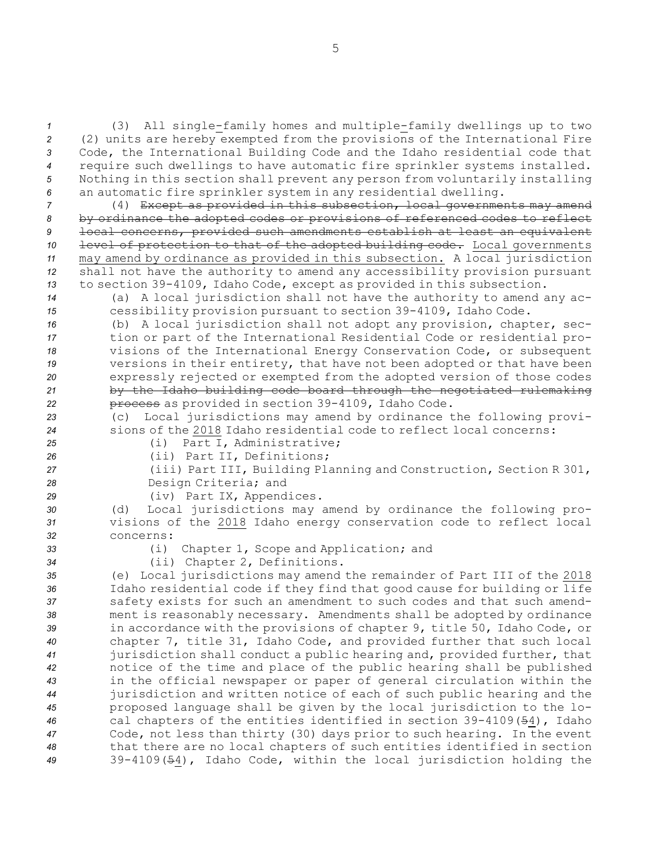(3) All single-family homes and multiple-family dwellings up to two (2) units are hereby exempted from the provisions of the International Fire Code, the International Building Code and the Idaho residential code that require such dwellings to have automatic fire sprinkler systems installed. Nothing in this section shall prevent any person from voluntarily installing an automatic fire sprinkler system in any residential dwelling.

 (4) Except as provided in this subsection, local governments may amend by ordinance the adopted codes or provisions of referenced codes to reflect local concerns, provided such amendments establish at least an equivalent 10 level of protection to that of the adopted building code. Local governments may amend by ordinance as provided in this subsection. <sup>A</sup> local jurisdiction shall not have the authority to amend any accessibility provision pursuant to section 39-4109, Idaho Code, except as provided in this subsection.

*<sup>14</sup>* (a) <sup>A</sup> local jurisdiction shall not have the authority to amend any ac-*<sup>15</sup>* cessibility provision pursuant to section 39-4109, Idaho Code.

 (b) <sup>A</sup> local jurisdiction shall not adopt any provision, chapter, sec- tion or part of the International Residential Code or residential pro- visions of the International Energy Conservation Code, or subsequent versions in their entirety, that have not been adopted or that have been expressly rejected or exempted from the adopted version of those codes by the Idaho building code board through the negotiated rulemaking process as provided in section 39-4109, Idaho Code.

*<sup>23</sup>* (c) Local jurisdictions may amend by ordinance the following provi-*24* sions of the 2018 Idaho residential code to reflect local concerns:

*<sup>25</sup>* (i) Part I, Administrative; *<sup>26</sup>* (ii) Part II, Definitions;

*<sup>27</sup>* (iii) Part III, Building Planning and Construction, Section <sup>R</sup> 301, *<sup>28</sup>* Design Criteria; and

*<sup>29</sup>* (iv) Part IX, Appendices.

*<sup>30</sup>* (d) Local jurisdictions may amend by ordinance the following pro-*<sup>31</sup>* visions of the 2018 Idaho energy conservation code to reflect local *32* concerns:

*<sup>33</sup>* (i) Chapter 1, Scope and Application; and

*<sup>34</sup>* (ii) Chapter 2, Definitions.

 (e) Local jurisdictions may amend the remainder of Part III of the 2018 Idaho residential code if they find that good cause for building or life safety exists for such an amendment to such codes and that such amend- ment is reasonably necessary. Amendments shall be adopted by ordinance in accordance with the provisions of chapter 9, title 50, Idaho Code, or chapter 7, title 31, Idaho Code, and provided further that such local jurisdiction shall conduct <sup>a</sup> public hearing and, provided further, that notice of the time and place of the public hearing shall be published in the official newspaper or paper of general circulation within the jurisdiction and written notice of each of such public hearing and the proposed language shall be given by the local jurisdiction to the lo- cal chapters of the entities identified in section 39-4109(54), Idaho Code, not less than thirty (30) days prior to such hearing. In the event that there are no local chapters of such entities identified in section 39-4109(54), Idaho Code, within the local jurisdiction holding the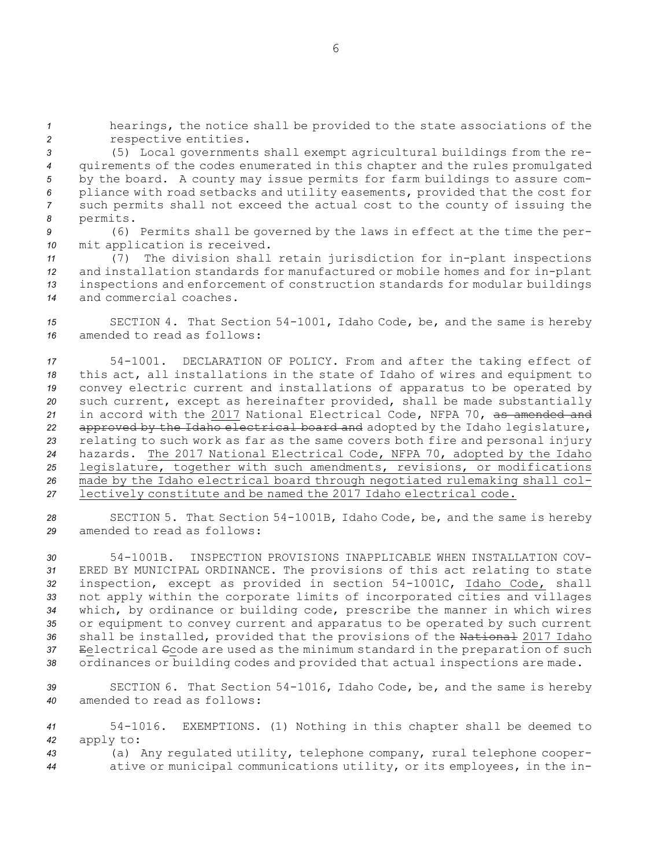*<sup>1</sup>* hearings, the notice shall be provided to the state associations of the *<sup>2</sup>* respective entities.

 (5) Local governments shall exempt agricultural buildings from the re- quirements of the codes enumerated in this chapter and the rules promulgated by the board. <sup>A</sup> county may issue permits for farm buildings to assure com- pliance with road setbacks and utility easements, provided that the cost for such permits shall not exceed the actual cost to the county of issuing the *<sup>8</sup>* permits.

*<sup>9</sup>* (6) Permits shall be governed by the laws in effect at the time the per-*<sup>10</sup>* mit application is received.

 (7) The division shall retain jurisdiction for in-plant inspections and installation standards for manufactured or mobile homes and for in-plant inspections and enforcement of construction standards for modular buildings and commercial coaches.

*<sup>15</sup>* SECTION 4. That Section 54-1001, Idaho Code, be, and the same is hereby *16* amended to read as follows:

 54-1001. DECLARATION OF POLICY. From and after the taking effect of this act, all installations in the state of Idaho of wires and equipment to convey electric current and installations of apparatus to be operated by such current, except as hereinafter provided, shall be made substantially in accord with the 2017 National Electrical Code, NFPA 70, as amended and approved by the Idaho electrical board and adopted by the Idaho legislature, relating to such work as far as the same covers both fire and personal injury hazards. The 2017 National Electrical Code, NFPA 70, adopted by the Idaho legislature, together with such amendments, revisions, or modifications made by the Idaho electrical board through negotiated rulemaking shall col-lectively constitute and be named the 2017 Idaho electrical code.

*<sup>28</sup>* SECTION 5. That Section 54-1001B, Idaho Code, be, and the same is hereby *29* amended to read as follows:

 54-1001B. INSPECTION PROVISIONS INAPPLICABLE WHEN INSTALLATION COV- ERED BY MUNICIPAL ORDINANCE. The provisions of this act relating to state inspection, except as provided in section 54-1001C, Idaho Code, shall not apply within the corporate limits of incorporated cities and villages which, by ordinance or building code, prescribe the manner in which wires or equipment to convey current and apparatus to be operated by such current shall be installed, provided that the provisions of the National 2017 Idaho Eelectrical Ccode are used as the minimum standard in the preparation of such ordinances or building codes and provided that actual inspections are made.

*<sup>39</sup>* SECTION 6. That Section 54-1016, Idaho Code, be, and the same is hereby *40* amended to read as follows:

*<sup>41</sup>* 54-1016. EXEMPTIONS. (1) Nothing in this chapter shall be deemed to *<sup>42</sup>* apply to:

*<sup>43</sup>* (a) Any regulated utility, telephone company, rural telephone cooper-*<sup>44</sup>* ative or municipal communications utility, or its employees, in the in-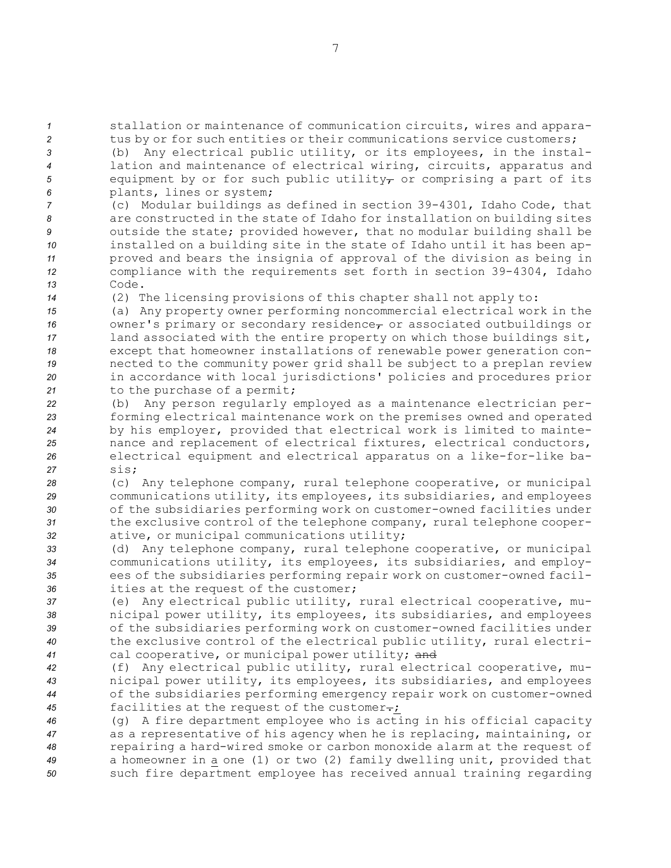*<sup>1</sup>* stallation or maintenance of communication circuits, wires and appara-*<sup>2</sup>* tus by or for such entities or their communications service customers;

 (b) Any electrical public utility, or its employees, in the instal- lation and maintenance of electrical wiring, circuits, apparatus and 5 equipment by or for such public utility<sub> $\tau$ </sub> or comprising a part of its plants, lines or system;

 (c) Modular buildings as defined in section 39-4301, Idaho Code, that are constructed in the state of Idaho for installation on building sites outside the state; provided however, that no modular building shall be installed on <sup>a</sup> building site in the state of Idaho until it has been ap- proved and bears the insignia of approval of the division as being in compliance with the requirements set forth in section 39-4304, Idaho *13* Code.

*<sup>14</sup>* (2) The licensing provisions of this chapter shall not apply to:

 (a) Any property owner performing noncommercial electrical work in the **16** owner's primary or secondary residence<sub>r</sub> or associated outbuildings or land associated with the entire property on which those buildings sit, except that homeowner installations of renewable power generation con- nected to the community power grid shall be subject to <sup>a</sup> preplan review in accordance with local jurisdictions' policies and procedures prior 21 to the purchase of a permit;

 (b) Any person regularly employed as <sup>a</sup> maintenance electrician per- forming electrical maintenance work on the premises owned and operated by his employer, provided that electrical work is limited to mainte- nance and replacement of electrical fixtures, electrical conductors, electrical equipment and electrical apparatus on <sup>a</sup> like-for-like ba-*27* sis;

 (c) Any telephone company, rural telephone cooperative, or municipal communications utility, its employees, its subsidiaries, and employees of the subsidiaries performing work on customer-owned facilities under the exclusive control of the telephone company, rural telephone cooper-ative, or municipal communications utility;

 (d) Any telephone company, rural telephone cooperative, or municipal communications utility, its employees, its subsidiaries, and employ- ees of the subsidiaries performing repair work on customer-owned facil-ities at the request of the customer;

 (e) Any electrical public utility, rural electrical cooperative, mu- nicipal power utility, its employees, its subsidiaries, and employees of the subsidiaries performing work on customer-owned facilities under the exclusive control of the electrical public utility, rural electri-cal cooperative, or municipal power utility; and

 (f) Any electrical public utility, rural electrical cooperative, mu- nicipal power utility, its employees, its subsidiaries, and employees of the subsidiaries performing emergency repair work on customer-owned facilities at the request of the customer.;

 (g) <sup>A</sup> fire department employee who is acting in his official capacity as <sup>a</sup> representative of his agency when he is replacing, maintaining, or repairing <sup>a</sup> hard-wired smoke or carbon monoxide alarm at the request of <sup>a</sup> homeowner in <sup>a</sup> one (1) or two (2) family dwelling unit, provided that such fire department employee has received annual training regarding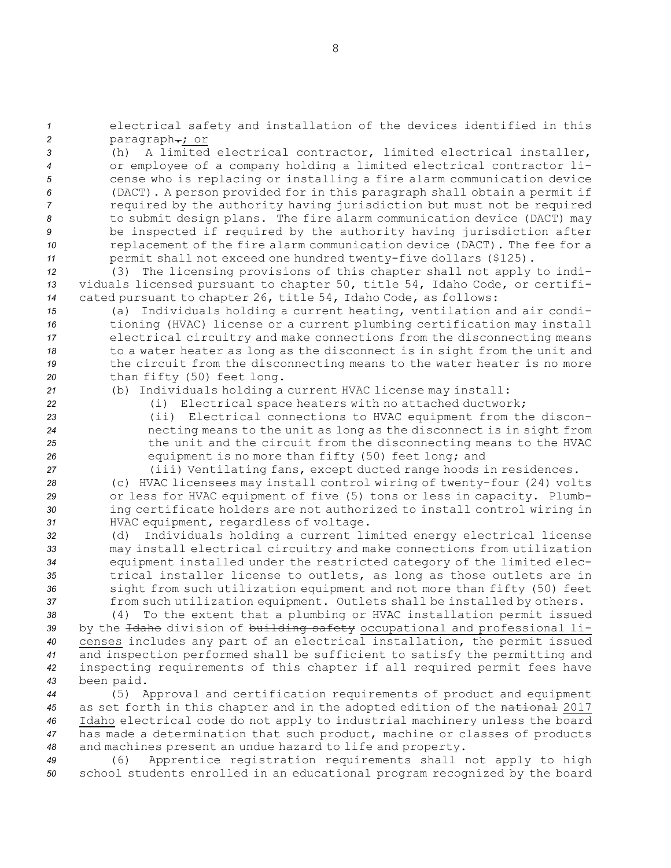*<sup>1</sup>* electrical safety and installation of the devices identified in this 2 paragraph-; or

 (h) A limited electrical contractor, limited electrical installer, or employee of <sup>a</sup> company holding <sup>a</sup> limited electrical contractor li- cense who is replacing or installing <sup>a</sup> fire alarm communication device (DACT). <sup>A</sup> person provided for in this paragraph shall obtain <sup>a</sup> permit if required by the authority having jurisdiction but must not be required to submit design plans. The fire alarm communication device (DACT) may be inspected if required by the authority having jurisdiction after replacement of the fire alarm communication device (DACT). The fee for <sup>a</sup> permit shall not exceed one hundred twenty-five dollars (\$125).

*<sup>12</sup>* (3) The licensing provisions of this chapter shall not apply to indi-*<sup>13</sup>* viduals licensed pursuant to chapter 50, title 54, Idaho Code, or certifi-*<sup>14</sup>* cated pursuant to chapter 26, title 54, Idaho Code, as follows:

 (a) Individuals holding <sup>a</sup> current heating, ventilation and air condi- tioning (HVAC) license or <sup>a</sup> current plumbing certification may install electrical circuitry and make connections from the disconnecting means to <sup>a</sup> water heater as long as the disconnect is in sight from the unit and the circuit from the disconnecting means to the water heater is no more than fifty (50) feet long.

*<sup>21</sup>* (b) Individuals holding <sup>a</sup> current HVAC license may install: *<sup>22</sup>* (i) Electrical space heaters with no attached ductwork;

 (ii) Electrical connections to HVAC equipment from the discon- necting means to the unit as long as the disconnect is in sight from the unit and the circuit from the disconnecting means to the HVAC equipment is no more than fifty (50) feet long; and

*<sup>27</sup>* (iii) Ventilating fans, except ducted range hoods in residences.

 (c) HVAC licensees may install control wiring of twenty-four (24) volts or less for HVAC equipment of five (5) tons or less in capacity. Plumb- ing certificate holders are not authorized to install control wiring in HVAC equipment, regardless of voltage.

 (d) Individuals holding <sup>a</sup> current limited energy electrical license may install electrical circuitry and make connections from utilization equipment installed under the restricted category of the limited elec- trical installer license to outlets, as long as those outlets are in sight from such utilization equipment and not more than fifty (50) feet from such utilization equipment. Outlets shall be installed by others.

 (4) To the extent that <sup>a</sup> plumbing or HVAC installation permit issued by the Idaho division of building safety occupational and professional li- censes includes any part of an electrical installation, the permit issued and inspection performed shall be sufficient to satisfy the permitting and inspecting requirements of this chapter if all required permit fees have been paid.

 (5) Approval and certification requirements of product and equipment as set forth in this chapter and in the adopted edition of the national 2017 Idaho electrical code do not apply to industrial machinery unless the board has made <sup>a</sup> determination that such product, machine or classes of products and machines present an undue hazard to life and property.

*<sup>49</sup>* (6) Apprentice registration requirements shall not apply to high *<sup>50</sup>* school students enrolled in an educational program recognized by the board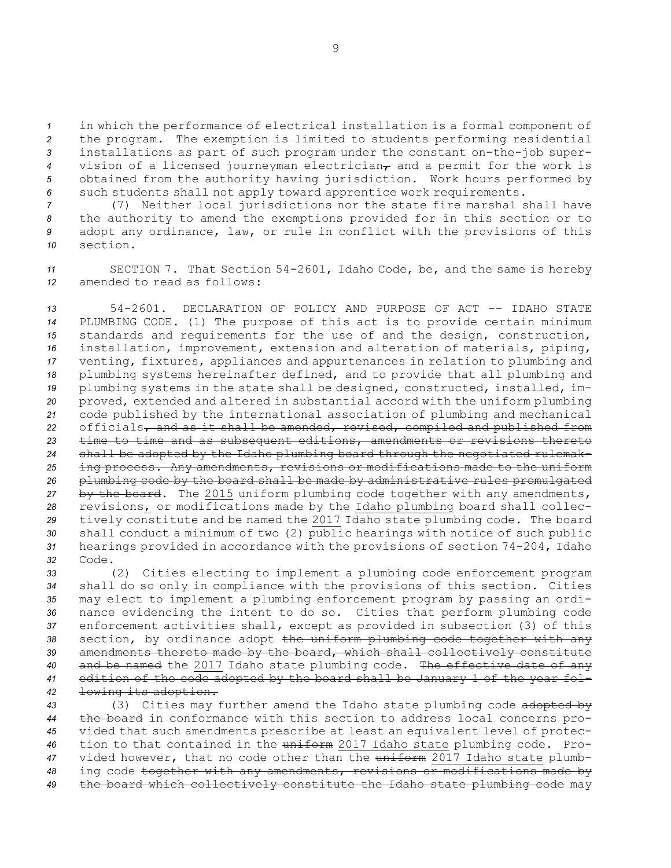in which the performance of electrical installation is <sup>a</sup> formal component of the program. The exemption is limited to students performing residential installations as part of such program under the constant on-the-job super- vision of a licensed journeyman electrician<sub>*r*</sub> and a permit for the work is obtained from the authority having jurisdiction. Work hours performed by such students shall not apply toward apprentice work requirements.

 (7) Neither local jurisdictions nor the state fire marshal shall have the authority to amend the exemptions provided for in this section or to adopt any ordinance, law, or rule in conflict with the provisions of this *10* section.

*<sup>11</sup>* SECTION 7. That Section 54-2601, Idaho Code, be, and the same is hereby *12* amended to read as follows:

 54-2601. DECLARATION OF POLICY AND PURPOSE OF ACT -- IDAHO STATE PLUMBING CODE. (1) The purpose of this act is to provide certain minimum standards and requirements for the use of and the design, construction, installation, improvement, extension and alteration of materials, piping, venting, fixtures, appliances and appurtenances in relation to plumbing and plumbing systems hereinafter defined, and to provide that all plumbing and plumbing systems in the state shall be designed, constructed, installed, im- proved, extended and altered in substantial accord with the uniform plumbing code published by the international association of plumbing and mechanical 22 officials, and as it shall be amended, revised, compiled and published from time to time and as subsequent editions, amendments or revisions thereto shall be adopted by the Idaho plumbing board through the negotiated rulemak- ing process. Any amendments, revisions or modifications made to the uniform plumbing code by the board shall be made by administrative rules promulgated by the board. The 2015 uniform plumbing code together with any amendments, revisions, or modifications made by the Idaho plumbing board shall collec- tively constitute and be named the 2017 Idaho state plumbing code. The board shall conduct <sup>a</sup> minimum of two (2) public hearings with notice of such public hearings provided in accordance with the provisions of section 74-204, Idaho *32* Code.

 (2) Cities electing to implement <sup>a</sup> plumbing code enforcement program shall do so only in compliance with the provisions of this section. Cities may elect to implement <sup>a</sup> plumbing enforcement program by passing an ordi- nance evidencing the intent to do so. Cities that perform plumbing code enforcement activities shall, except as provided in subsection (3) of this section, by ordinance adopt the uniform plumbing code together with any amendments thereto made by the board, which shall collectively constitute and be named the 2017 Idaho state plumbing code. The effective date of any edition of the code adopted by the board shall be January 1 of the year fol-lowing its adoption.

 (3) Cities may further amend the Idaho state plumbing code adopted by the board in conformance with this section to address local concerns pro- vided that such amendments prescribe at least an equivalent level of protec- tion to that contained in the uniform 2017 Idaho state plumbing code. Pro- vided however, that no code other than the uniform 2017 Idaho state plumb- ing code together with any amendments, revisions or modifications made by the board which collectively constitute the Idaho state plumbing code may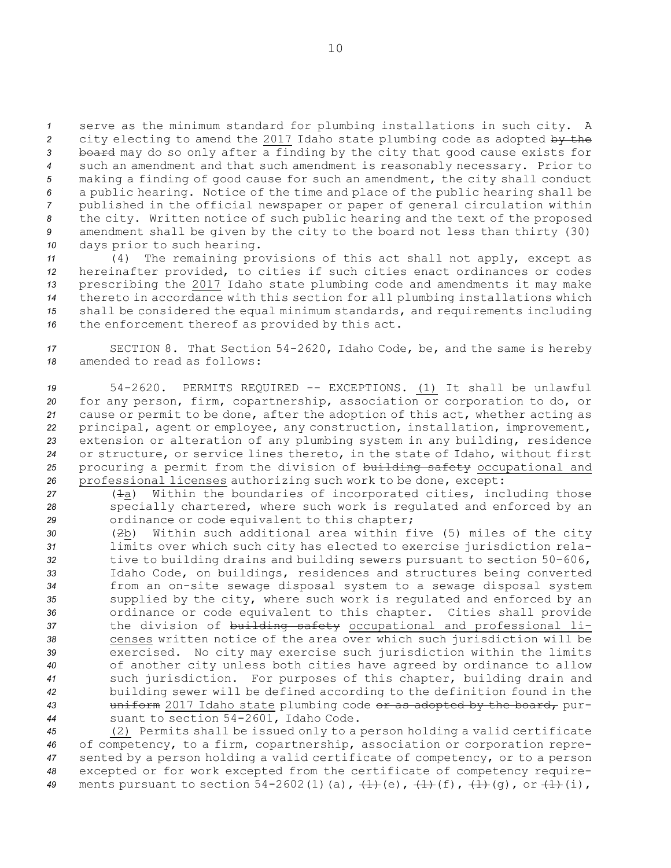serve as the minimum standard for plumbing installations in such city. <sup>A</sup> city electing to amend the 2017 Idaho state plumbing code as adopted by the board may do so only after <sup>a</sup> finding by the city that good cause exists for such an amendment and that such amendment is reasonably necessary. Prior to making <sup>a</sup> finding of good cause for such an amendment, the city shall conduct <sup>a</sup> public hearing. Notice of the time and place of the public hearing shall be published in the official newspaper or paper of general circulation within the city. Written notice of such public hearing and the text of the proposed amendment shall be given by the city to the board not less than thirty (30) days prior to such hearing.

 (4) The remaining provisions of this act shall not apply, except as hereinafter provided, to cities if such cities enact ordinances or codes prescribing the 2017 Idaho state plumbing code and amendments it may make thereto in accordance with this section for all plumbing installations which shall be considered the equal minimum standards, and requirements including the enforcement thereof as provided by this act.

*<sup>17</sup>* SECTION 8. That Section 54-2620, Idaho Code, be, and the same is hereby *18* amended to read as follows:

 54-2620. PERMITS REQUIRED -- EXCEPTIONS. (1) It shall be unlawful for any person, firm, copartnership, association or corporation to do, or cause or permit to be done, after the adoption of this act, whether acting as principal, agent or employee, any construction, installation, improvement, extension or alteration of any plumbing system in any building, residence or structure, or service lines thereto, in the state of Idaho, without first procuring <sup>a</sup> permit from the division of building safety occupational and professional licenses authorizing such work to be done, except:

*<sup>27</sup>* (1a) Within the boundaries of incorporated cities, including those *<sup>28</sup>* specially chartered, where such work is regulated and enforced by an *<sup>29</sup>* ordinance or code equivalent to this chapter;

 (2b) Within such additional area within five (5) miles of the city limits over which such city has elected to exercise jurisdiction rela- tive to building drains and building sewers pursuant to section 50-606, Idaho Code, on buildings, residences and structures being converted from an on-site sewage disposal system to <sup>a</sup> sewage disposal system supplied by the city, where such work is regulated and enforced by an ordinance or code equivalent to this chapter. Cities shall provide **the division of <del>building safety</del> occupational and professional li-** censes written notice of the area over which such jurisdiction will be exercised. No city may exercise such jurisdiction within the limits of another city unless both cities have agreed by ordinance to allow such jurisdiction. For purposes of this chapter, building drain and building sewer will be defined according to the definition found in the uniform 2017 Idaho state plumbing code or as adopted by the board, pur-suant to section 54-2601, Idaho Code.

 (2) Permits shall be issued only to <sup>a</sup> person holding <sup>a</sup> valid certificate of competency, to <sup>a</sup> firm, copartnership, association or corporation repre- sented by <sup>a</sup> person holding <sup>a</sup> valid certificate of competency, or to <sup>a</sup> person excepted or for work excepted from the certificate of competency require-ments pursuant to section  $54-2602(1)(a)$ ,  $\frac{1}{1}(e)$ ,  $\frac{1}{1}(f)$ ,  $\frac{1}{1}(g)$ , or  $\frac{1}{1}(i)$ ,